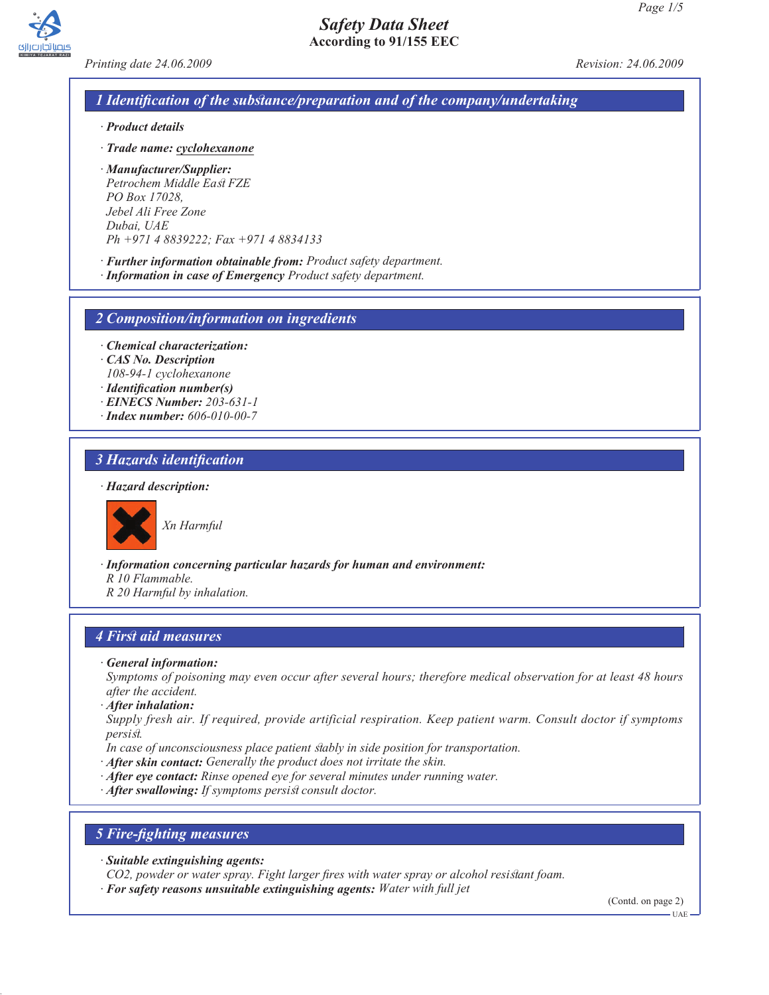



*Printing date 24.06.2009 Revision: 24.06.2009*

# *1 Identification of the substance/preparation and of the company/undertaking*

- *· Product details*
- *· Trade name: cyclohexanone*
- *· Manufacturer/Supplier: Petrochem Middle East FZE PO Box 17028, Jebel Ali Free Zone Dubai, UAE Ph +971 4 8839222; Fax +971 4 8834133*
- *· Further information obtainable from: Product safety department.*
- *· Information in case of Emergency Product safety department.*

*2 Composition/information on ingredients*

- *· Chemical characterization:*
- *· CAS No. Description 108-94-1 cyclohexanone*
- *· Identification number(s)*
- *· EINECS Number: 203-631-1*
- *· Index number: 606-010-00-7*

## *3 Hazards identification*

#### *· Hazard description:*



*Xn Harmful*

*· Information concerning particular hazards for human and environment:*

- *R 10 Flammable.*
- *R 20 Harmful by inhalation.*

### *4 First aid measures*

*· General information:*

*Symptoms of poisoning may even occur after several hours; therefore medical observation for at least 48 hours after the accident.*

- *· After inhalation:*
- *Supply fresh air. If required, provide artificial respiration. Keep patient warm. Consult doctor if symptoms persist.*
- *In case of unconsciousness place patient stably in side position for transportation.*
- *· After skin contact: Generally the product does not irritate the skin.*
- *· After eye contact: Rinse opened eye for several minutes under running water.*
- *· After swallowing: If symptoms persist consult doctor.*

### *5 Fire-fighting measures*

*· Suitable extinguishing agents:*

*CO2, powder or water spray. Fight larger fires with water spray or alcohol resistant foam.*

*· For safety reasons unsuitable extinguishing agents: Water with full jet*

(Contd. on page 2)

UAE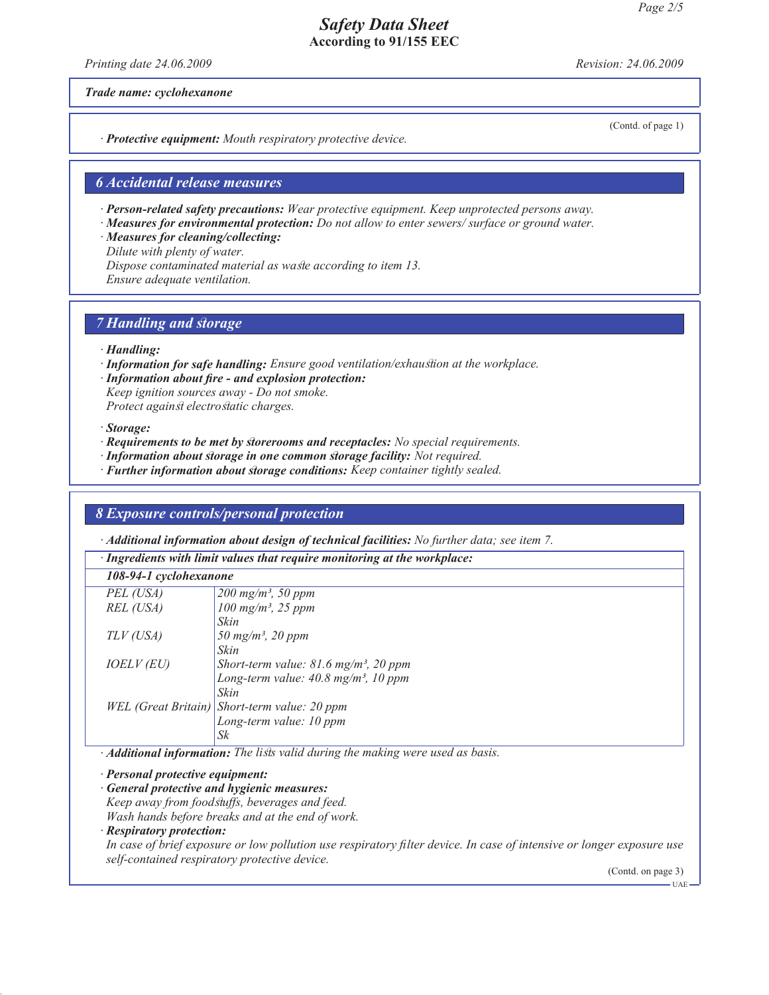*Printing date 24.06.2009 Revision: 24.06.2009*

*Trade name: cyclohexanone*

(Contd. of page 1)

*· Protective equipment: Mouth respiratory protective device.*

### *6 Accidental release measures*

*· Person-related safety precautions: Wear protective equipment. Keep unprotected persons away.*

*· Measures for environmental protection: Do not allow to enter sewers/ surface or ground water.*

*· Measures for cleaning/collecting:*

*Dilute with plenty of water.*

*Dispose contaminated material as waste according to item 13.*

*Ensure adequate ventilation.*

## *7 Handling and storage*

- *· Handling:*
- *· Information for safe handling: Ensure good ventilation/exhaustion at the workplace.*
- *· Information about fire and explosion protection: Keep ignition sources away - Do not smoke.*

*Protect against electrostatic charges.*

#### *· Storage:*

- *· Requirements to be met by storerooms and receptacles: No special requirements.*
- *· Information about storage in one common storage facility: Not required.*
- *· Further information about storage conditions: Keep container tightly sealed.*

## *8 Exposure controls/personal protection*

*· Additional information about design of technical facilities: No further data; see item 7.*

| · Ingredients with limit values that require monitoring at the workplace: |                                                                                                                                                                                                                                                |  |
|---------------------------------------------------------------------------|------------------------------------------------------------------------------------------------------------------------------------------------------------------------------------------------------------------------------------------------|--|
| 108-94-1 cyclohexanone                                                    |                                                                                                                                                                                                                                                |  |
| PEL (USA)                                                                 | $200 \; mg/m^3$ , 50 ppm                                                                                                                                                                                                                       |  |
| REL (USA)                                                                 | $100 \; mg/m^3$ , 25 ppm                                                                                                                                                                                                                       |  |
|                                                                           | Skin                                                                                                                                                                                                                                           |  |
| TLV (USA)                                                                 | 50 mg/m <sup>3</sup> , 20 ppm                                                                                                                                                                                                                  |  |
|                                                                           | Skin                                                                                                                                                                                                                                           |  |
| <i>IOELV (EU)</i>                                                         | Short-term value: $81.6$ mg/m <sup>3</sup> , 20 ppm                                                                                                                                                                                            |  |
|                                                                           | Long-term value: $40.8 \text{ mg/m}^3$ , 10 ppm                                                                                                                                                                                                |  |
|                                                                           | Skin                                                                                                                                                                                                                                           |  |
|                                                                           | WEL (Great Britain) Short-term value: 20 ppm                                                                                                                                                                                                   |  |
|                                                                           | Long-term value: 10 ppm                                                                                                                                                                                                                        |  |
|                                                                           | Sk                                                                                                                                                                                                                                             |  |
|                                                                           | $\bm{A}$ , $\bm{A}$ , $\bm{B}$ , $\bm{C}$ , $\bm{C}$ , and $\bm{C}$ , and $\bm{C}$ , and $\bm{C}$ , and $\bm{C}$ , and $\bm{C}$ , and $\bm{C}$ , and $\bm{C}$ , and $\bm{C}$ , and $\bm{C}$ , and $\bm{C}$ , and $\bm{C}$ , and $\bm{C}$ , and |  |

*· Additional information: The lists valid during the making were used as basis.*

*· Personal protective equipment:*

*· General protective and hygienic measures:*

*Keep away from foodstuffs, beverages and feed.*

*Wash hands before breaks and at the end of work.*

### *· Respiratory protection:*

*In case of brief exposure or low pollution use respiratory filter device. In case of intensive or longer exposure use self-contained respiratory protective device.*

(Contd. on page 3)

 $-IIAP$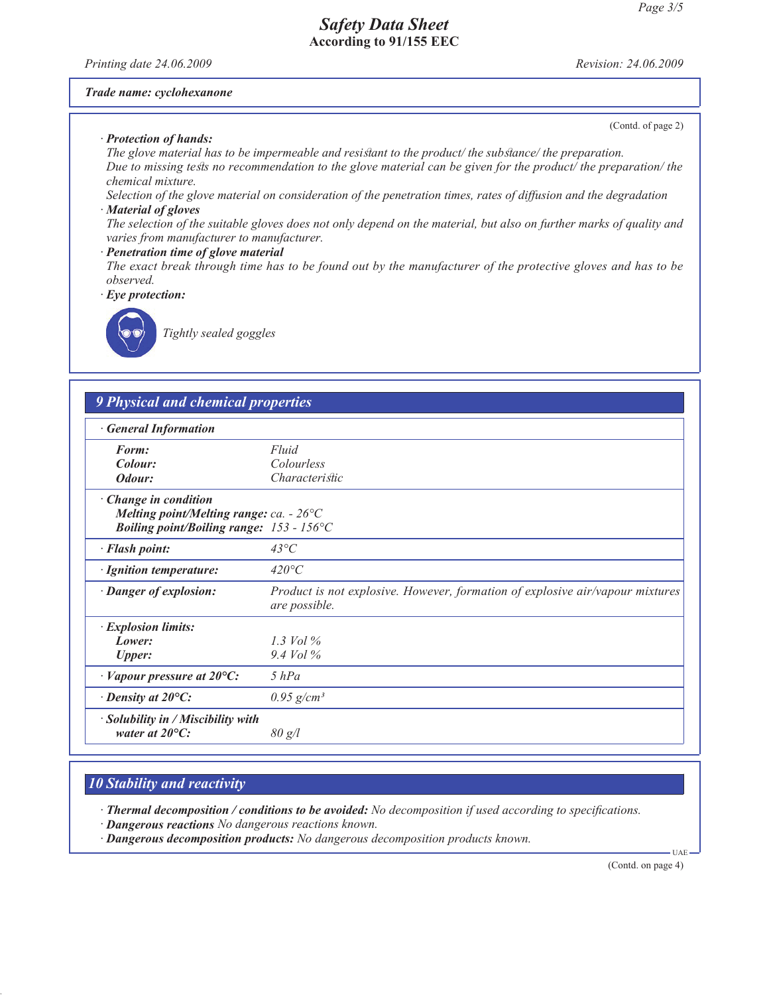*Printing date 24.06.2009 Revision: 24.06.2009*

(Contd. of page 2)

#### *Trade name: cyclohexanone*

*· Protection of hands:*

*The glove material has to be impermeable and resistant to the product/ the substance/ the preparation. Due to missing tests no recommendation to the glove material can be given for the product/ the preparation/ the chemical mixture.*

*Selection of the glove material on consideration of the penetration times, rates of diffusion and the degradation · Material of gloves*

*The selection of the suitable gloves does not only depend on the material, but also on further marks of quality and varies from manufacturer to manufacturer.*

#### *· Penetration time of glove material*

*The exact break through time has to be found out by the manufacturer of the protective gloves and has to be observed.*

*· Eye protection:*



*Tightly sealed goggles*

## *9 Physical and chemical properties*

|  | <b>General Information</b> |  |  |
|--|----------------------------|--|--|
|--|----------------------------|--|--|

| <i><b>OCHET WE ENTER HIGHLION</b></i>                                                                                  |                                                                                                       |
|------------------------------------------------------------------------------------------------------------------------|-------------------------------------------------------------------------------------------------------|
| Form:                                                                                                                  | Fluid                                                                                                 |
| Colour:                                                                                                                | Colourless                                                                                            |
| Odour:                                                                                                                 | <i>Characteristic</i>                                                                                 |
| · Change in condition<br>Melting point/Melting range: ca. - $26^{\circ}$ C<br>Boiling point/Boiling range: 153 - 156°C |                                                                                                       |
| · Flash point:                                                                                                         | $43^{\circ}C$                                                                                         |
| · Ignition temperature:                                                                                                | $420^{\circ}C$                                                                                        |
| · Danger of explosion:                                                                                                 | <i>Product is not explosive. However, formation of explosive air/vapour mixtures</i><br>are possible. |
| · Explosion limits:                                                                                                    |                                                                                                       |
| Lower:                                                                                                                 | 1.3 Vol $\%$                                                                                          |
| <b>Upper:</b>                                                                                                          | $9.4$ Vol $\%$                                                                                        |
| $\cdot$ Vapour pressure at 20 $\circ$ C:                                                                               | $5$ $hPa$                                                                                             |
| $\cdot$ Density at 20 $\mathrm{^{\circ}C:}$                                                                            | $0.95$ g/cm <sup>3</sup>                                                                              |
| $\cdot$ Solubility in / Miscibility with<br>water at $20^{\circ}$ C:                                                   | 80 g/l                                                                                                |
|                                                                                                                        |                                                                                                       |

## *10 Stability and reactivity*

*· Thermal decomposition / conditions to be avoided: No decomposition if used according to specifications.*

- *· Dangerous reactions No dangerous reactions known.*
- *· Dangerous decomposition products: No dangerous decomposition products known.*

(Contd. on page 4)

UAE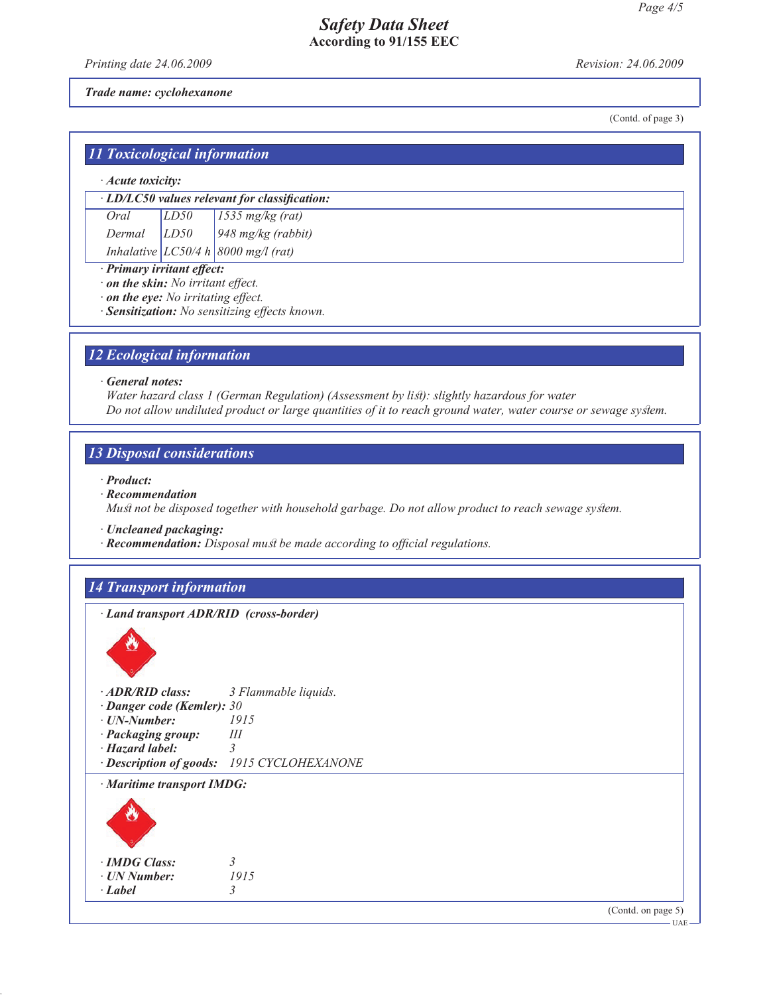*Printing date 24.06.2009 Revision: 24.06.2009*

*Trade name: cyclohexanone*

(Contd. of page 3)

| <b>11 Toxicological information</b> |  |  |
|-------------------------------------|--|--|

#### *· Acute toxicity:*

*Oral LD50 1535 mg/kg (rat) Dermal LD50 948 mg/kg (rabbit)*

*Inhalative LC50/4 h 8000 mg/l (rat)*

*· Primary irritant effect:*

*· on the skin: No irritant effect.*

*· on the eye: No irritating effect.*

*· Sensitization: No sensitizing effects known.*

## *12 Ecological information*

#### *· General notes:*

*Water hazard class 1 (German Regulation) (Assessment by list): slightly hazardous for water Do not allow undiluted product or large quantities of it to reach ground water, water course or sewage system.*

### *13 Disposal considerations*

- *· Product:*
- *· Recommendation*

*Must not be disposed together with household garbage. Do not allow product to reach sewage system.*

- *· Uncleaned packaging:*
- *· Recommendation: Disposal must be made according to official regulations.*

## *14 Transport information*

*· Land transport ADR/RID (cross-border)*



| <b>Danger code (Kemler): 30</b>  |                                            |
|----------------------------------|--------------------------------------------|
| $\cdot$ UN-Number:               | 1915                                       |
| · Packaging group:               | Ш                                          |
| $\cdot$ Hazard label:            |                                            |
|                                  | · Description of goods: 1915 CYCLOHEXANONE |
| $\cdot$ Maritime transport IMDG: |                                            |



*· IMDG Class: 3*  $\cdot$  *UN Number: · Label 3*

(Contd. on page 5)

 $-UAE$